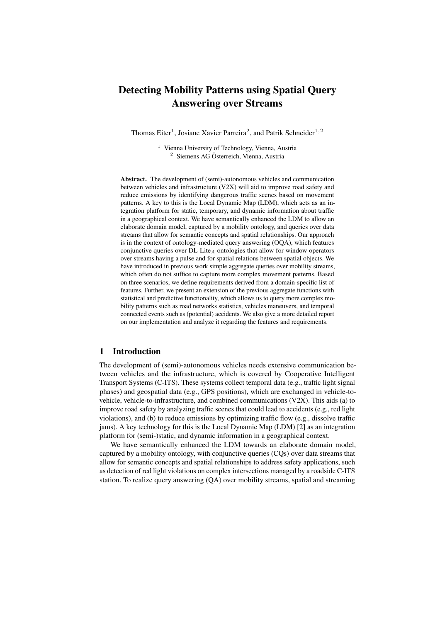# Detecting Mobility Patterns using Spatial Query Answering over Streams

Thomas Eiter<sup>1</sup>, Josiane Xavier Parreira<sup>2</sup>, and Patrik Schneider<sup>1,2</sup>

<sup>1</sup> Vienna University of Technology, Vienna, Austria  $2$  Siemens AG Österreich, Vienna, Austria

Abstract. The development of (semi)-autonomous vehicles and communication between vehicles and infrastructure (V2X) will aid to improve road safety and reduce emissions by identifying dangerous traffic scenes based on movement patterns. A key to this is the Local Dynamic Map (LDM), which acts as an integration platform for static, temporary, and dynamic information about traffic in a geographical context. We have semantically enhanced the LDM to allow an elaborate domain model, captured by a mobility ontology, and queries over data streams that allow for semantic concepts and spatial relationships. Our approach is in the context of ontology-mediated query answering (OQA), which features conjunctive queries over  $DL\text{-}Life_A$  ontologies that allow for window operators over streams having a pulse and for spatial relations between spatial objects. We have introduced in previous work simple aggregate queries over mobility streams, which often do not suffice to capture more complex movement patterns. Based on three scenarios, we define requirements derived from a domain-specific list of features. Further, we present an extension of the previous aggregate functions with statistical and predictive functionality, which allows us to query more complex mobility patterns such as road networks statistics, vehicles maneuvers, and temporal connected events such as (potential) accidents. We also give a more detailed report on our implementation and analyze it regarding the features and requirements.

# 1 Introduction

The development of (semi)-autonomous vehicles needs extensive communication between vehicles and the infrastructure, which is covered by Cooperative Intelligent Transport Systems (C-ITS). These systems collect temporal data (e.g., traffic light signal phases) and geospatial data (e.g., GPS positions), which are exchanged in vehicle-tovehicle, vehicle-to-infrastructure, and combined communications (V2X). This aids (a) to improve road safety by analyzing traffic scenes that could lead to accidents (e.g., red light violations), and (b) to reduce emissions by optimizing traffic flow (e.g., dissolve traffic jams). A key technology for this is the Local Dynamic Map (LDM) [2] as an integration platform for (semi-)static, and dynamic information in a geographical context.

We have semantically enhanced the LDM towards an elaborate domain model, captured by a mobility ontology, with conjunctive queries (CQs) over data streams that allow for semantic concepts and spatial relationships to address safety applications, such as detection of red light violations on complex intersections managed by a roadside C-ITS station. To realize query answering (QA) over mobility streams, spatial and streaming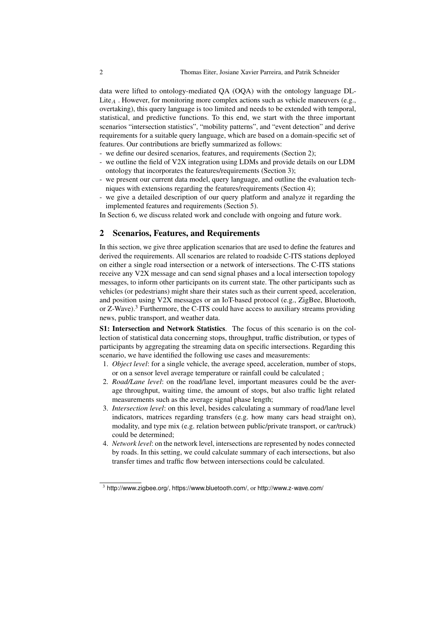data were lifted to ontology-mediated QA (OQA) with the ontology language DL-Lite<sub>A</sub>. However, for monitoring more complex actions such as vehicle maneuvers (e.g., overtaking), this query language is too limited and needs to be extended with temporal, statistical, and predictive functions. To this end, we start with the three important scenarios "intersection statistics", "mobility patterns", and "event detection" and derive requirements for a suitable query language, which are based on a domain-specific set of features. Our contributions are briefly summarized as follows:

- we define our desired scenarios, features, and requirements (Section 2);
- we outline the field of V2X integration using LDMs and provide details on our LDM ontology that incorporates the features/requirements (Section 3);
- we present our current data model, query language, and outline the evaluation techniques with extensions regarding the features/requirements (Section 4);
- we give a detailed description of our query platform and analyze it regarding the implemented features and requirements (Section 5).
- In Section 6, we discuss related work and conclude with ongoing and future work.

### 2 Scenarios, Features, and Requirements

In this section, we give three application scenarios that are used to define the features and derived the requirements. All scenarios are related to roadside C-ITS stations deployed on either a single road intersection or a network of intersections. The C-ITS stations receive any V2X message and can send signal phases and a local intersection topology messages, to inform other participants on its current state. The other participants such as vehicles (or pedestrians) might share their states such as their current speed, acceleration, and position using V2X messages or an IoT-based protocol (e.g., ZigBee, Bluetooth, or  $Z-W$ ave).<sup>3</sup> Furthermore, the C-ITS could have access to auxiliary streams providingnews, public transport, and weather data.

S1: Intersection and Network Statistics. The focus of this scenario is on the collection of statistical data concerning stops, throughput, traffic distribution, or types of participants by aggregating the streaming data on specific intersections. Regarding this scenario, we have identified the following use cases and measurements:

- 1. *Object level*: for a single vehicle, the average speed, acceleration, number of stops, or on a sensor level average temperature or rainfall could be calculated ;
- 2. *Road/Lane level*: on the road/lane level, important measures could be the average throughput, waiting time, the amount of stops, but also traffic light related measurements such as the average signal phase length;
- 3. *Intersection level*: on this level, besides calculating a summary of road/lane level indicators, matrices regarding transfers (e.g. how many cars head straight on), modality, and type mix (e.g. relation between public/private transport, or car/truck) could be determined;
- 4. *Network level*: on the network level, intersections are represented by nodes connected by roads. In this setting, we could calculate summary of each intersections, but also transfer times and traffic flow between intersections could be calculated.

 $3$  http://www.zigbee.org/, https://www.bluetooth.com/, or http://www.z-wave.com/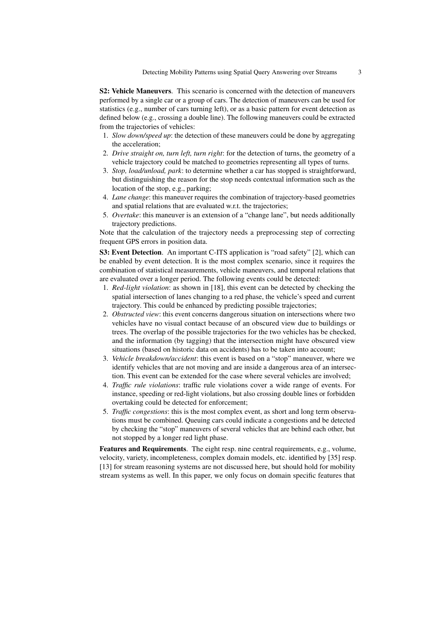S2: Vehicle Maneuvers. This scenario is concerned with the detection of maneuvers performed by a single car or a group of cars. The detection of maneuvers can be used for statistics (e.g., number of cars turning left), or as a basic pattern for event detection as defined below (e.g., crossing a double line). The following maneuvers could be extracted from the trajectories of vehicles:

- 1. *Slow down/speed up*: the detection of these maneuvers could be done by aggregating the acceleration;
- 2. *Drive straight on, turn left, turn right*: for the detection of turns, the geometry of a vehicle trajectory could be matched to geometries representing all types of turns.
- 3. *Stop, load/unload, park*: to determine whether a car has stopped is straightforward, but distinguishing the reason for the stop needs contextual information such as the location of the stop, e.g., parking;
- 4. *Lane change*: this maneuver requires the combination of trajectory-based geometries and spatial relations that are evaluated w.r.t. the trajectories;
- 5. *Overtake*: this maneuver is an extension of a "change lane", but needs additionally trajectory predictions.

Note that the calculation of the trajectory needs a preprocessing step of correcting frequent GPS errors in position data.

S3: Event Detection. An important C-ITS application is "road safety" [2], which can be enabled by event detection. It is the most complex scenario, since it requires the combination of statistical measurements, vehicle maneuvers, and temporal relations that are evaluated over a longer period. The following events could be detected:

- 1. *Red-light violation*: as shown in [18], this event can be detected by checking the spatial intersection of lanes changing to a red phase, the vehicle's speed and current trajectory. This could be enhanced by predicting possible trajectories;
- 2. *Obstructed view*: this event concerns dangerous situation on intersections where two vehicles have no visual contact because of an obscured view due to buildings or trees. The overlap of the possible trajectories for the two vehicles has be checked, and the information (by tagging) that the intersection might have obscured view situations (based on historic data on accidents) has to be taken into account;
- 3. *Vehicle breakdown/accident*: this event is based on a "stop" maneuver, where we identify vehicles that are not moving and are inside a dangerous area of an intersection. This event can be extended for the case where several vehicles are involved;
- 4. *Traffic rule violations*: traffic rule violations cover a wide range of events. For instance, speeding or red-light violations, but also crossing double lines or forbidden overtaking could be detected for enforcement;
- 5. *Traffic congestions*: this is the most complex event, as short and long term observations must be combined. Queuing cars could indicate a congestions and be detected by checking the "stop" maneuvers of several vehicles that are behind each other, but not stopped by a longer red light phase.

Features and Requirements. The eight resp. nine central requirements, e.g., volume, velocity, variety, incompleteness, complex domain models, etc. identified by [35] resp. [13] for stream reasoning systems are not discussed here, but should hold for mobility stream systems as well. In this paper, we only focus on domain specific features that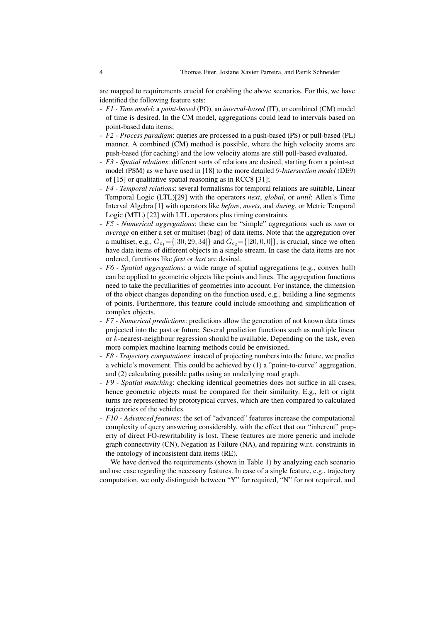are mapped to requirements crucial for enabling the above scenarios. For this, we have identified the following feature sets:

- *F1 Time model*: a *point-based* (PO), an *interval-based* (IT), or combined (CM) model of time is desired. In the CM model, aggregations could lead to intervals based on point-based data items;
- *F2 Process paradigm*: queries are processed in a push-based (PS) or pull-based (PL) manner. A combined (CM) method is possible, where the high velocity atoms are push-based (for caching) and the low velocity atoms are still pull-based evaluated.
- *F3 Spatial relations*: different sorts of relations are desired, starting from a point-set model (PSM) as we have used in [18] to the more detailed *9-Intersection model* (DE9) of [15] or qualitative spatial reasoning as in RCC8 [31];
- *F4 Temporal relations*: several formalisms for temporal relations are suitable, Linear Temporal Logic (LTL)[29] with the operators *next*, *global*, or *until*; Allen's Time Interval Algebra [1] with operators like *before*, *meets*, and *during*, or Metric Temporal Logic (MTL) [22] with LTL operators plus timing constraints.
- *F5 Numerical aggregations*: these can be "simple" aggregations such as *sum* or *average* on either a set or multiset (bag) of data items. Note that the aggregation over a multiset, e.g.,  $G_{c_1} = \{ |30, 29, 34| \}$  and  $G_{c_2} = \{ |20, 0, 0| \}$ , is crucial, since we often have data items of different objects in a single stream. In case the data items are not ordered, functions like *first* or *last* are desired.
- *F6 Spatial aggregations*: a wide range of spatial aggregations (e.g., convex hull) can be applied to geometric objects like points and lines. The aggregation functions need to take the peculiarities of geometries into account. For instance, the dimension of the object changes depending on the function used, e.g., building a line segments of points. Furthermore, this feature could include smoothing and simplification of complex objects.
- *F7 Numerical predictions*: predictions allow the generation of not known data times projected into the past or future. Several prediction functions such as multiple linear or k-nearest-neighbour regression should be available. Depending on the task, even more complex machine learning methods could be envisioned.
- *F8 Trajectory computations*: instead of projecting numbers into the future, we predict a vehicle's movement. This could be achieved by (1) a "point-to-curve" aggregation, and (2) calculating possible paths using an underlying road graph.
- *F9 Spatial matching*: checking identical geometries does not suffice in all cases, hence geometric objects must be compared for their similarity. E.g., left or right turns are represented by prototypical curves, which are then compared to calculated trajectories of the vehicles.
- *F10 Advanced features*: the set of "advanced" features increase the computational complexity of query answering considerably, with the effect that our "inherent" property of direct FO-rewritability is lost. These features are more generic and include graph connectivity (CN), Negation as Failure (NA), and repairing w.r.t. constraints in the ontology of inconsistent data items (RE).

We have derived the requirements (shown in Table 1) by analyzing each scenario and use case regarding the necessary features. In case of a single feature, e.g., trajectory computation, we only distinguish between "Y" for required, "N" for not required, and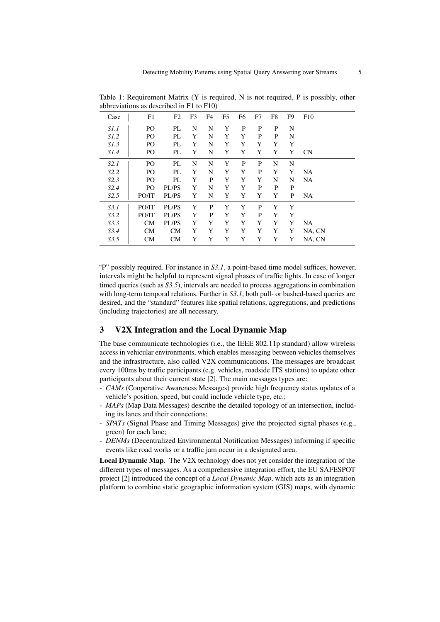| Case        | F1             | F2        | F <sub>3</sub> | F4 | F <sub>5</sub> | F <sub>6</sub> | F7 | F8 | F9 | F10       |
|-------------|----------------|-----------|----------------|----|----------------|----------------|----|----|----|-----------|
| S1.1        | P <sub>O</sub> | PL        | N              | N  | Y              | P              | P  | P  | N  |           |
| <i>S1.2</i> | P <sub>O</sub> | PL        | Y              | N  | Y              | Y              | P  | P  | N  |           |
| S1.3        | P <sub>O</sub> | PL        | Y              | N  | Y              | Y              | Y  | Y  | Y  |           |
| S1.4        | PO             | PL        | Y              | N  | Y              | Y              | Y  | Y  | Y  | CN        |
| S2.1        | P <sub>O</sub> | PL        | N              | N  | Y              | P              | P  | N  | N  |           |
| S2.2        | P <sub>O</sub> | PL        | Y              | N  | Y              | Y              | P  | Y  | Y  | <b>NA</b> |
| S2.3        | P <sub>O</sub> | PL        | Y              | P  | Y              | Y              | Y  | N  | N  | <b>NA</b> |
| S2.4        | P <sub>O</sub> | PL/PS     | Y              | N  | Y              | Y              | P  | P  | P  |           |
| S2.5        | PO/IT          | PL/PS     | Y              | N  | Y              | Y              | Y  | Y  | P  | <b>NA</b> |
| S3.1        | PO/IT          | PL/PS     | Y              | P  | Y              | Y              | P  | Y  | Y  |           |
| S3.2        | PO/IT          | PL/PS     | Y              | P  | Y              | Y              | P  | Y  | Y  |           |
| S3.3        | CM             | PL/PS     | Y              | Y  | Y              | Y              | Y  | Y  | Y  | <b>NA</b> |
| S3.4        | CM             | CM        | Y              | Y  | Y              | Y              | Y  | Y  | Y  | NA, CN    |
| S3.5        | <b>CM</b>      | <b>CM</b> | Y              | Y  | Y              | Y              | Y  | Y  | Y  | NA, CN    |

Table 1: Requirement Matrix (Y is required, N is not required, P is possibly, other abbreviations as described in F1 to F10)

"P" possibly required. For instance in *S3.1*, a point-based time model suffices, however, intervals might be helpful to represent signal phases of traffic lights. In case of longer timed queries (such as *S3.5*), intervals are needed to process aggregations in combination with long-term temporal relations. Further in *S3.1*, both pull- or bushed-based queries are desired, and the "standard" features like spatial relations, aggregations, and predictions (including trajectories) are all necessary.

#### 3 V2X Integration and the Local Dynamic Map

The base communicate technologies (i.e., the IEEE 802.11p standard) allow wireless access in vehicular environments, which enables messaging between vehicles themselves and the infrastructure, also called V2X communications. The messages are broadcast every 100ms by traffic participants (e.g. vehicles, roadside ITS stations) to update other participants about their current state [2]. The main messages types are:

- *CAMs* (Cooperative Awareness Messages) provide high frequency status updates of a vehicle's position, speed, but could include vehicle type, etc.;
- *MAPs* (Map Data Messages) describe the detailed topology of an intersection, including its lanes and their connections;
- *SPATs* (Signal Phase and Timing Messages) give the projected signal phases (e.g., green) for each lane;
- *DENMs* (Decentralized Environmental Notification Messages) informing if specific events like road works or a traffic jam occur in a designated area.

Local Dynamic Map. The V2X technology does not yet consider the integration of the different types of messages. As a comprehensive integration effort, the EU SAFESPOT project [2] introduced the concept of a *Local Dynamic Map*, which acts as an integration platform to combine static geographic information system (GIS) maps, with dynamic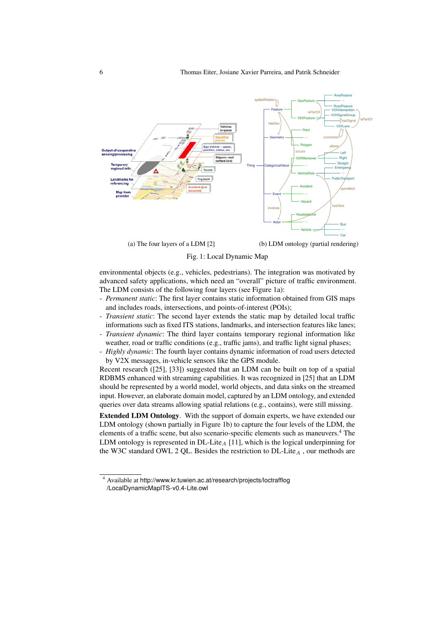

Fig. 1: Local Dynamic Map

environmental objects (e.g., vehicles, pedestrians). The integration was motivated by advanced safety applications, which need an "overall" picture of traffic environment. The LDM consists of the following four layers (see Figure 1a):

- *Permanent static*: The first layer contains static information obtained from GIS maps and includes roads, intersections, and points-of-interest (POIs);
- *Transient static*: The second layer extends the static map by detailed local traffic informations such as fixed ITS stations, landmarks, and intersection features like lanes;
- *Transient dynamic*: The third layer contains temporary regional information like weather, road or traffic conditions (e.g., traffic jams), and traffic light signal phases;
- *Highly dynamic*: The fourth layer contains dynamic information of road users detected by V2X messages, in-vehicle sensors like the GPS module.

Recent research ([25], [33]) suggested that an LDM can be built on top of a spatial RDBMS enhanced with streaming capabilities. It was recognized in [25] that an LDM should be represented by a world model, world objects, and data sinks on the streamed input. However, an elaborate domain model, captured by an LDM ontology, and extended queries over data streams allowing spatial relations (e.g., contains), were still missing.

Extended LDM Ontology. With the support of domain experts, we have extended our LDM ontology (shown partially in Figure 1b) to capture the four levels of the LDM, the elements of a traffic scene, but also scenario-specific elements such as maneuvers.<sup>4</sup> The LDM ontology is represented in DL-Lite<sub>A</sub> [11], which is the logical underpinning for the W3C standard OWL 2 QL. Besides the restriction to  $DL\text{-}Lie_A$ , our methods are

<sup>4</sup> Available at http://www.kr.tuwien.ac.at/research/projects/loctrafflog /LocalDynamicMapITS-v0.4-Lite.owl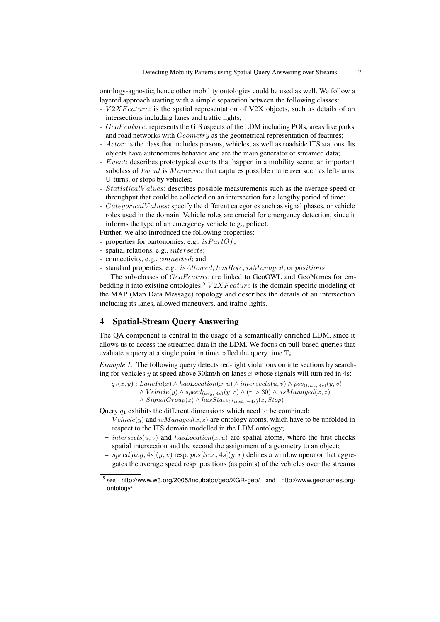ontology-agnostic; hence other mobility ontologies could be used as well. We follow a layered approach starting with a simple separation between the following classes:

- $V2XFeature$ : is the spatial representation of V2X objects, such as details of an intersections including lanes and traffic lights;
- GeoF eature: represents the GIS aspects of the LDM including POIs, areas like parks, and road networks with *Geometry* as the geometrical representation of features;
- Actor: is the class that includes persons, vehicles, as well as roadside ITS stations. Its objects have autonomous behavior and are the main generator of streamed data;
- Event: describes prototypical events that happen in a mobility scene, an important subclass of  $Event$  is  $M anewer$  that captures possible maneuver such as left-turns, U-turns, or stops by vehicles;
- StatisticalV alues: describes possible measurements such as the average speed or throughput that could be collected on an intersection for a lengthy period of time;
- $-$  CategoricalV alues: specify the different categories such as signal phases, or vehicle roles used in the domain. Vehicle roles are crucial for emergency detection, since it informs the type of an emergency vehicle (e.g., police).

Further, we also introduced the following properties:

- properties for partonomies, e.g.,  $isPartOf;$
- spatial relations, e.g., intersects;
- connectivity, e.g., connected; and
- standard properties, e.g., is Allowed, hasRole, is Managed, or positions.

The sub-classes of  $GeoFeature$  are linked to GeoOWL and GeoNames for embedding it into existing ontologies.<sup>5</sup>  $V2XFeature$  is the domain specific modeling of the MAP (Map Data Message) topology and describes the details of an intersection including its lanes, allowed maneuvers, and traffic lights.

## 4 Spatial-Stream Query Answering

The QA component is central to the usage of a semantically enriched LDM, since it allows us to access the streamed data in the LDM. We focus on pull-based queries that evaluate a query at a single point in time called the query time  $\mathbb{T}_i$ .

*Example 1.* The following query detects red-light violations on intersections by searching for vehicles y at speed above 30 km/h on lanes x whose signals will turn red in 4s:

 $q_1(x, y)$ : LaneIn(x)  $\land$  hasLocation(x, u)  $\land$  intersects(u, v)  $\land$  pos<sub>(line, 4s)</sub>(y, v)  $\land$  Vehicle(y)  $\land$  speed<sub>(avg, 4s)</sub>(y, r)  $\land$  (r > 30)  $\land$  isManaged(x, z)  $\land$  SignalGroup(z)  $\land$  hasState<sub>(first, -4s)</sub>(z, Stop)

Query  $q_1$  exhibits the different dimensions which need to be combined:

- Vehicle(y) and isManaged(x, z) are ontology atoms, which have to be unfolded in respect to the ITS domain modelled in the LDM ontology;
- intersects(u, v) and has Location(x, u) are spatial atoms, where the first checks spatial intersection and the second the assignment of a geometry to an object;
- speed[avg, 4s](y, v) resp. pos[line, 4s](y, r) defines a window operator that aggregates the average speed resp. positions (as points) of the vehicles over the streams

<sup>&</sup>lt;sup>5</sup> see http://www.w3.org/2005/Incubator/geo/XGR-geo/ and http://www.geonames.org/ ontology/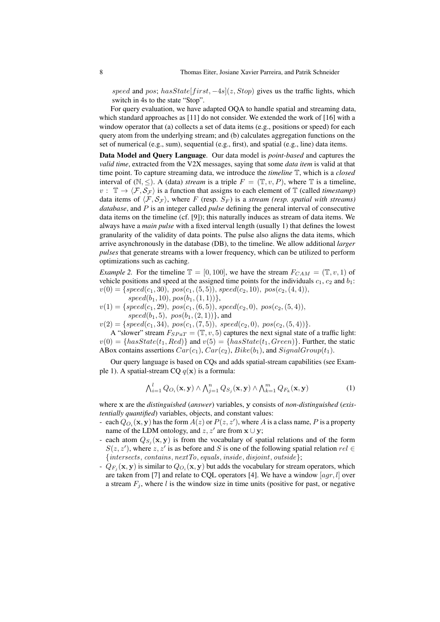speed and pos; has State[first,  $-4s$ ](z, Stop) gives us the traffic lights, which switch in 4s to the state "Stop".

For query evaluation, we have adapted OQA to handle spatial and streaming data, which standard approaches as [11] do not consider. We extended the work of [16] with a window operator that (a) collects a set of data items (e.g., positions or speed) for each query atom from the underlying stream; and (b) calculates aggregation functions on the set of numerical (e.g., sum), sequential (e.g., first), and spatial (e.g., line) data items.

Data Model and Query Language. Our data model is *point-based* and captures the *valid time*, extracted from the V2X messages, saying that some *data item* is valid at that time point. To capture streaming data, we introduce the *timeline* T, which is a *closed* interval of  $(N, \leq)$ . A (data) *stream* is a triple  $F = (\mathbb{T}, v, P)$ , where  $\mathbb{T}$  is a timeline,  $v: \mathbb{T} \to \langle \mathcal{F}, \mathcal{S}_{\mathcal{F}} \rangle$  is a function that assigns to each element of T (called *timestamp*) data items of  $\langle \mathcal{F}, \mathcal{S}_{\mathcal{F}} \rangle$ , where F (resp.  $S_F$ ) is a *stream (resp. spatial with streams) database*, and P is an integer called *pulse* defining the general interval of consecutive data items on the timeline (cf. [9]); this naturally induces as stream of data items. We always have a *main pulse* with a fixed interval length (usually 1) that defines the lowest granularity of the validity of data points. The pulse also aligns the data items, which arrive asynchronously in the database (DB), to the timeline. We allow additional *larger pulses* that generate streams with a lower frequency, which can be utilized to perform optimizations such as caching.

*Example 2.* For the timeline  $\mathbb{T} = [0, 100]$ , we have the stream  $F_{CAM} = (\mathbb{T}, v, 1)$  of vehicle positions and speed at the assigned time points for the individuals  $c_1$ ,  $c_2$  and  $b_1$ :  $v(0) = {speed(c_1, 30), pos(c_1, (5, 5)), speed(c_2, 10), pos(c_2, (4, 4))},$ 

 $speed(b_1, 10), pos(b_1, (1, 1))\},$ 

 $v(1) = \{speed(c_1, 29), pos(c_1, (6, 5)), speed(c_2, 0), pos(c_2, (5, 4)),$  $speed(b_1, 5), pos(b_1, (2, 1))\}$ , and

 $v(2) = \{speed(c_1, 34), pos(c_1, (7, 5)), speed(c_2, 0), pos(c_2, (5, 4))\}.$ 

A "slower" stream  $F_{SPaT} = (\mathbb{T}, v, 5)$  captures the next signal state of a traffic light:  $v(0) = \{hasState(t_1, Red)\}\$ and  $v(5) = \{hasState(t_1, Green)\}\$ . Further, the static ABox contains assertions  $Car(c_1), Car(c_2), Bike(b_1),$  and  $SignalGroup(t_1)$ .

Our query language is based on CQs and adds spatial-stream capabilities (see Example 1). A spatial-stream CQ  $q(\mathbf{x})$  is a formula:

$$
\bigwedge_{i=1}^{l} Q_{O_i}(\mathbf{x}, \mathbf{y}) \wedge \bigwedge_{j=1}^{n} Q_{S_j}(\mathbf{x}, \mathbf{y}) \wedge \bigwedge_{k=1}^{m} Q_{F_k}(\mathbf{x}, \mathbf{y})
$$
(1)

where x are the *distinguished* (*answer*) variables, y consists of *non-distinguished* (*existentially quantified*) variables, objects, and constant values:

- each  $Q_{O_i}(\mathbf{x}, \mathbf{y})$  has the form  $A(z)$  or  $P(z, z')$ , where A is a class name, P is a property name of the LDM ontology, and  $z, z'$  are from  $\mathbf{x} \cup \mathbf{y}$ ;
- each atom  $Q_{S_j}(\mathbf{x}, \mathbf{y})$  is from the vocabulary of spatial relations and of the form  $S(z, z')$ , where  $z, z'$  is as before and S is one of the following spatial relation  $rel \in$  $\{intersects, contains, nextTo, equals, inside, disjoint, outside\};\$
- $-Q_{F_j}(\mathbf{x}, \mathbf{y})$  is similar to  $Q_{O_i}(\mathbf{x}, \mathbf{y})$  but adds the vocabulary for stream operators, which are taken from [7] and relate to CQL operators [4]. We have a window  $[agr, l]$  over a stream  $F_j$ , where l is the window size in time units (positive for past, or negative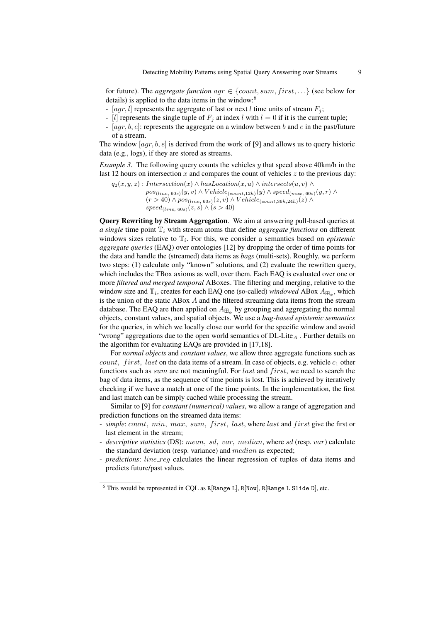for future). The *aggregate function*  $agr \in \{count, sum, first, ...\}$  (see below for details) is applied to the data items in the window:<sup>6</sup>

- [agr, l] represents the aggregate of last or next l time units of stream  $F_i$ ;
- [l] represents the single tuple of  $F_i$  at index l with  $l = 0$  if it is the current tuple;
- $[agr, b, e]$ : represents the aggregate on a window between b and e in the past/future of a stream.

The window  $[agr, b, e]$  is derived from the work of [9] and allows us to query historic data (e.g., logs), if they are stored as streams.

*Example 3.* The following query counts the vehicles y that speed above 40km/h in the last 12 hours on intersection  $x$  and compares the count of vehicles  $z$  to the previous day:

 $q_2(x, y, z)$ : Intersection(x) ∧ hasLocation(x, u) ∧ intersects(u, v) ∧  $pos_{(line, 60s)}(y, v) \wedge Vehicle_{(count, 12h)}(y) \wedge speed_{(max, 60s)}(y, r) \wedge$  $(r > 40) \wedge pos_{(line, 60s)}(z, v) \wedge Vehicle_{(count,36h,24h)}(z) \wedge$  $speed_{(line, 60s)}(z, s) \wedge (s > 40)$ 

Query Rewriting by Stream Aggregation. We aim at answering pull-based queries at  $a$  single time point  $\mathbb{T}_i$  with stream atoms that define *aggregate functions* on different windows sizes relative to  $\mathbb{T}_i$ . For this, we consider a semantics based on *epistemic aggregate queries* (EAQ) over ontologies [12] by dropping the order of time points for the data and handle the (streamed) data items as *bags* (multi-sets). Roughly, we perform two steps: (1) calculate only "known" solutions, and (2) evaluate the rewritten query, which includes the TBox axioms as well, over them. Each EAQ is evaluated over one or more *filtered and merged temporal* ABoxes. The filtering and merging, relative to the window size and  $\mathbb{T}_i$ , creates for each EAQ one (so-called) *windowed* ABox  $A_{\mathbb{H}_{\phi}}$ , which is the union of the static ABox  $A$  and the filtered streaming data items from the stream database. The EAQ are then applied on  $A_{\boxplus_{\phi}}$  by grouping and aggregating the normal objects, constant values, and spatial objects. We use a *bag-based epistemic semantics* for the queries, in which we locally close our world for the specific window and avoid "wrong" aggregations due to the open world semantics of  $DL$ -Lite<sub>A</sub>. Further details on the algorithm for evaluating EAQs are provided in [17,18].

For *normal objects* and *constant values*, we allow three aggregate functions such as *count, first, last* on the data items of a stream. In case of objects, e.g. vehicle  $c_1$  other functions such as sum are not meaningful. For last and first, we need to search the bag of data items, as the sequence of time points is lost. This is achieved by iteratively checking if we have a match at one of the time points. In the implementation, the first and last match can be simply cached while processing the stream.

Similar to [9] for *constant (numerical) values*, we allow a range of aggregation and prediction functions on the streamed data items:

- *simple*: count, min, max, sum, first, last, where last and first give the first or last element in the stream;
- *descriptive statistics* (DS): mean, sd, var, median, where sd (resp. var) calculate the standard deviation (resp. variance) and median as expected;
- *predictions*: *line\_reg* calculates the linear regression of tuples of data items and predicts future/past values.

 $6$  This would be represented in CQL as R[Range L], R[Now], R[Range L Slide D], etc.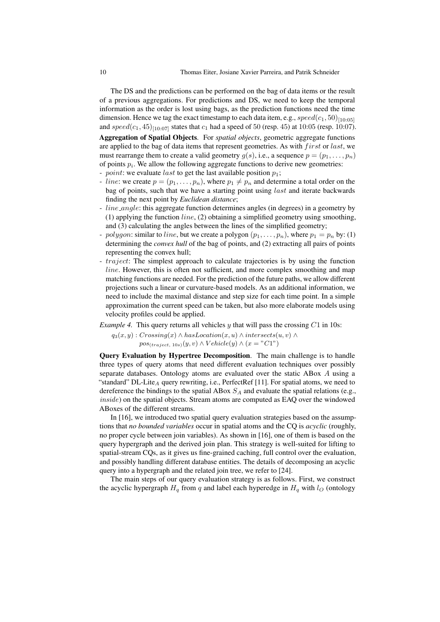The DS and the predictions can be performed on the bag of data items or the result of a previous aggregations. For predictions and DS, we need to keep the temporal information as the order is lost using bags, as the prediction functions need the time dimension. Hence we tag the exact timestamp to each data item, e.g.,  $speed(c_1, 50)_{[10 \cdot 05]}$ and speed(c<sub>1</sub>, 45)<sub>[10:07]</sub> states that c<sub>1</sub> had a speed of 50 (resp. 45) at 10:05 (resp. 10:07).

Aggregation of Spatial Objects. For *spatial objects*, geometric aggregate functions are applied to the bag of data items that represent geometries. As with  $first$  or last, we must rearrange them to create a valid geometry  $g(s)$ , i.e., a sequence  $p = (p_1, \ldots, p_n)$ of points  $p_i$ . We allow the following aggregate functions to derive new geometries:

- point: we evaluate last to get the last available position  $p_1$ ;
- line: we create  $p = (p_1, \ldots, p_n)$ , where  $p_1 \neq p_n$  and determine a total order on the bag of points, such that we have a starting point using  $last$  and iterate backwards finding the next point by *Euclidean distance*;
- *line\_angle*: this aggregate function determines angles (in degrees) in a geometry by (1) applying the function  $line$ , (2) obtaining a simplified geometry using smoothing, and (3) calculating the angles between the lines of the simplified geometry;
- polygon: similar to line, but we create a polygon  $(p_1, \ldots, p_n)$ , where  $p_1 = p_n$  by: (1) determining the *convex hull* of the bag of points, and (2) extracting all pairs of points representing the convex hull;
- *traject*: The simplest approach to calculate trajectories is by using the function line. However, this is often not sufficient, and more complex smoothing and map matching functions are needed. For the prediction of the future paths, we allow different projections such a linear or curvature-based models. As an additional information, we need to include the maximal distance and step size for each time point. In a simple approximation the current speed can be taken, but also more elaborate models using velocity profiles could be applied.

*Example 4.* This query returns all vehicles  $y$  that will pass the crossing  $C1$  in 10s:

 $q_3(x, y)$ :  $Crossing(x) \wedge hasLocation(x, u) \wedge intersect(s(u, v) \wedge$  $pos_{(trajectory, 10s)}(y, v) \wedge Vehicle(y) \wedge (x = "C1")$ 

Query Evaluation by Hypertree Decomposition. The main challenge is to handle three types of query atoms that need different evaluation techniques over possibly separate databases. Ontology atoms are evaluated over the static ABox A using a "standard" DL-Lite<sub>A</sub> query rewriting, i.e., PerfectRef [11]. For spatial atoms, we need to dereference the bindings to the spatial ABox  $S_A$  and evaluate the spatial relations (e.g., inside) on the spatial objects. Stream atoms are computed as EAQ over the windowed ABoxes of the different streams.

In [16], we introduced two spatial query evaluation strategies based on the assumptions that *no bounded variables* occur in spatial atoms and the CQ is *acyclic* (roughly, no proper cycle between join variables). As shown in [16], one of them is based on the query hypergraph and the derived join plan. This strategy is well-suited for lifting to spatial-stream CQs, as it gives us fine-grained caching, full control over the evaluation, and possibly handling different database entities. The details of decomposing an acyclic query into a hypergraph and the related join tree, we refer to [24].

The main steps of our query evaluation strategy is as follows. First, we construct the acyclic hypergraph  $H_q$  from q and label each hyperedge in  $H_q$  with  $l_Q$  (ontology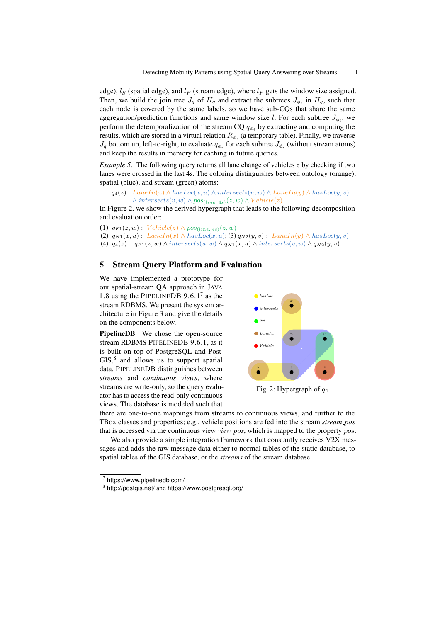edge),  $l_S$  (spatial edge), and  $l_F$  (stream edge), where  $l_F$  gets the window size assigned. Then, we build the join tree  $J_q$  of  $H_q$  and extract the subtrees  $J_{\phi_i}$  in  $H_q$ , such that each node is covered by the same labels, so we have sub-CQs that share the same aggregation/prediction functions and same window size l. For each subtree  $J_{\phi_i}$ , we perform the detemporalization of the stream CQ  $q_{\phi_i}$  by extracting and computing the results, which are stored in a virtual relation  $R_{\phi_i}$  (a temporary table). Finally, we traverse  $J_q$  bottom up, left-to-right, to evaluate  $q_{\phi_i}$  for each subtree  $J_{\phi_i}$  (without stream atoms) and keep the results in memory for caching in future queries.

*Example 5.* The following query returns all lane change of vehicles z by checking if two lanes were crossed in the last 4s. The coloring distinguishes between ontology (orange), spatial (blue), and stream (green) atoms:

```
q_4(z): LaneIn(x) \wedge hasLoc(x, u) \wedge intersects(u, w) \wedge LaneIn(y) \wedge hasLoc(y, v)
\land intersects(v, w) \land pos<sub>(line, 4s)</sub>(z, w) \land Vehicle(z)
```
In Figure 2, we show the derived hypergraph that leads to the following decomposition and evaluation order:

(1)  $q_{F1}(z, w)$ :  $Vehicle(z) \wedge pos_{(line, 4s)}(z, w)$ (2)  $q_{N1}(x, u)$ :  $LaneIn(x) \wedge hasLoc(x, u);$  (3)  $q_{N2}(y, v)$ :  $LaneIn(y) \wedge hasLoc(y, v)$ (4)  $q_4(z)$ :  $q_{F1}(z, w) \wedge interests(u, w) \wedge q_{N1}(x, u) \wedge interests(v, w) \wedge q_{N2}(y, v)$ 

#### 5 Stream Query Platform and Evaluation

We have implemented a prototype for our spatial-stream QA approach in JAVA 1.8 using the PIPELINEDB 9.6.1<sup>7</sup> as the stream RDBMS. We present the system architecture in Figure 3 and give the details on the components below.

PipelineDB. We chose the open-source stream RDBMS PIPELINEDB 9.6.1, as it is built on top of PostgreSQL and Post-GIS,<sup>8</sup> and allows us to support spatial data. PIPELINEDB distinguishes between *streams* and *continuous views*, where streams are write-only, so the query evaluator has to access the read-only continuous views. The database is modeled such that



Fig. 2: Hypergraph of  $q_4$ 

there are one-to-one mappings from streams to continuous views, and further to the TBox classes and properties; e.g., vehicle positions are fed into the stream *stream pos* that is accessed via the continuous view *view pos*, which is mapped to the property pos.

We also provide a simple integration framework that constantly receives V2X messages and adds the raw message data either to normal tables of the static database, to spatial tables of the GIS database, or the *streams* of the stream database.

 $^7$  https://www.pipelinedb.com/

<sup>8</sup> http://postgis.net/ and https://www.postgresql.org/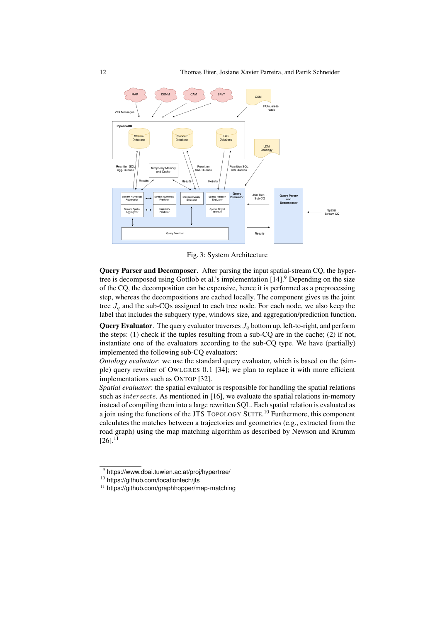

Fig. 3: System Architecture

Query Parser and Decomposer. After parsing the input spatial-stream CQ, the hypertree is decomposed using Gottlob et al.'s implementation [14].<sup>9</sup> Depending on the size of the CQ, the decomposition can be expensive, hence it is performed as a preprocessing step, whereas the decompositions are cached locally. The component gives us the joint tree  $J<sub>a</sub>$  and the sub-CQs assigned to each tree node. For each node, we also keep the label that includes the subquery type, windows size, and aggregation/prediction function.

**Query Evaluator.** The query evaluator traverses  $J_q$  bottom up, left-to-right, and perform the steps: (1) check if the tuples resulting from a sub-CQ are in the cache; (2) if not, instantiate one of the evaluators according to the sub-CQ type. We have (partially) implemented the following sub-CQ evaluators:

*Ontology evaluator*: we use the standard query evaluator, which is based on the (simple) query rewriter of OWLGRES 0.1 [34]; we plan to replace it with more efficient implementations such as ONTOP [32].

*Spatial evaluator*: the spatial evaluator is responsible for handling the spatial relations such as *intersects*. As mentioned in [16], we evaluate the spatial relations in-memory instead of compiling them into a large rewritten SQL. Each spatial relation is evaluated as a join using the functions of the JTS TOPOLOGY SUITE.<sup>10</sup> Furthermore, this component calculates the matches between a trajectories and geometries (e.g., extracted from the road graph) using the map matching algorithm as described by Newson and Krumm  $[26]$ <sup>11</sup>

<sup>&</sup>lt;sup>9</sup> https://www.dbai.tuwien.ac.at/proj/hypertree/

<sup>10</sup> https://github.com/locationtech/jts

<sup>&</sup>lt;sup>11</sup> https://github.com/graphhopper/map-matching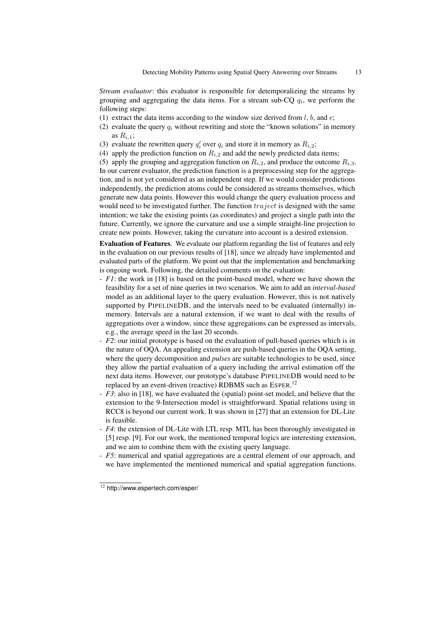*Stream evaluator*: this evaluator is responsible for detemporalizing the streams by grouping and aggregating the data items. For a stream sub-CQ  $q_i$ , we perform the following steps:

- (1) extract the data items according to the window size derived from  $l, b$ , and  $e$ ;
- (2) evaluate the query  $q_i$  without rewriting and store the "known solutions" in memory as  $R_{i,1}$ ;
- (3) evaluate the rewritten query  $q_i'$  over  $q_i$  and store it in memory as  $R_{i,2}$ ;
- (4) apply the prediction function on  $R_{i,2}$  and add the newly predicted data items;

(5) apply the grouping and aggregation function on  $R_{i,2}$ , and produce the outcome  $R_{i,3}$ . In our current evaluator, the prediction function is a preprocessing step for the aggregation, and is not yet considered as an independent step. If we would consider predictions independently, the prediction atoms could be considered as streams themselves, which generate new data points. However this would change the query evaluation process and would need to be investigated further. The function  $trajectory$  is designed with the same intention; we take the existing points (as coordinates) and project a single path into the future. Currently, we ignore the curvature and use a simple straight-line projection to create new points. However, taking the curvature into account is a desired extension.

Evaluation of Features. We evaluate our platform regarding the list of features and rely in the evaluation on our previous results of [18], since we already have implemented and evaluated parts of the platform. We point out that the implementation and benchmarking is ongoing work. Following, the detailed comments on the evaluation:

- *F1*: the work in [18] is based on the point-based model, where we have shown the feasibility for a set of nine queries in two scenarios. We aim to add an *interval-based* model as an additional layer to the query evaluation. However, this is not natively supported by PIPELINEDB, and the intervals need to be evaluated (internally) inmemory. Intervals are a natural extension, if we want to deal with the results of aggregations over a window, since these aggregations can be expressed as intervals, e.g., the average speed in the last 20 seconds.
- *F2*: our initial prototype is based on the evaluation of pull-based queries which is in the nature of OQA. An appealing extension are push-based queries in the OQA setting, where the query decomposition and *pulses* are suitable technologies to be used, since they allow the partial evaluation of a query including the arrival estimation off the next data items. However, our prototype's database PIPELINEDB would need to be replaced by an event-driven (reactive) RDBMS such as ESPER.<sup>12</sup>
- *F3*: also in [18], we have evaluated the (spatial) point-set model, and believe that the extension to the 9-Intersection model is straightforward. Spatial relations using in RCC8 is beyond our current work. It was shown in [27] that an extension for DL-Lite is feasible.
- *F4*: the extension of DL-Lite with LTL resp. MTL has been thoroughly investigated in [5] resp. [9]. For our work, the mentioned temporal logics are interesting extension, and we aim to combine them with the existing query language.
- *F5*: numerical and spatial aggregations are a central element of our approach, and we have implemented the mentioned numerical and spatial aggregation functions.

<sup>12</sup> http://www.espertech.com/esper/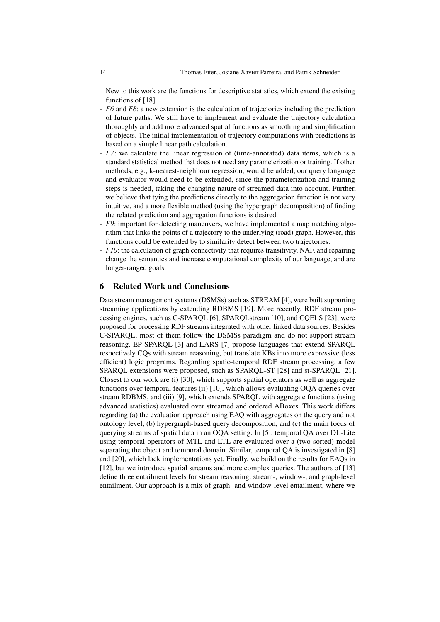New to this work are the functions for descriptive statistics, which extend the existing functions of [18].

- *F6* and *F8*: a new extension is the calculation of trajectories including the prediction of future paths. We still have to implement and evaluate the trajectory calculation thoroughly and add more advanced spatial functions as smoothing and simplification of objects. The initial implementation of trajectory computations with predictions is based on a simple linear path calculation.
- *F7*: we calculate the linear regression of (time-annotated) data items, which is a standard statistical method that does not need any parameterization or training. If other methods, e.g., k-nearest-neighbour regression, would be added, our query language and evaluator would need to be extended, since the parameterization and training steps is needed, taking the changing nature of streamed data into account. Further, we believe that tying the predictions directly to the aggregation function is not very intuitive, and a more flexible method (using the hypergraph decomposition) of finding the related prediction and aggregation functions is desired.
- *F9*: important for detecting maneuvers, we have implemented a map matching algorithm that links the points of a trajectory to the underlying (road) graph. However, this functions could be extended by to similarity detect between two trajectories.
- *F10*: the calculation of graph connectivity that requires transitivity, NAF, and repairing change the semantics and increase computational complexity of our language, and are longer-ranged goals.

### 6 Related Work and Conclusions

Data stream management systems (DSMSs) such as STREAM [4], were built supporting streaming applications by extending RDBMS [19]. More recently, RDF stream processing engines, such as C-SPARQL [6], SPARQLstream [10], and CQELS [23], were proposed for processing RDF streams integrated with other linked data sources. Besides C-SPARQL, most of them follow the DSMSs paradigm and do not support stream reasoning. EP-SPARQL [3] and LARS [7] propose languages that extend SPARQL respectively CQs with stream reasoning, but translate KBs into more expressive (less efficient) logic programs. Regarding spatio-temporal RDF stream processing, a few SPARQL extensions were proposed, such as SPARQL-ST [28] and st-SPARQL [21]. Closest to our work are (i) [30], which supports spatial operators as well as aggregate functions over temporal features (ii) [10], which allows evaluating OQA queries over stream RDBMS, and (iii) [9], which extends SPARQL with aggregate functions (using advanced statistics) evaluated over streamed and ordered ABoxes. This work differs regarding (a) the evaluation approach using EAQ with aggregates on the query and not ontology level, (b) hypergraph-based query decomposition, and (c) the main focus of querying streams of spatial data in an OQA setting. In [5], temporal QA over DL-Lite using temporal operators of MTL and LTL are evaluated over a (two-sorted) model separating the object and temporal domain. Similar, temporal QA is investigated in [8] and [20], which lack implementations yet. Finally, we build on the results for EAQs in [12], but we introduce spatial streams and more complex queries. The authors of [13] define three entailment levels for stream reasoning: stream-, window-, and graph-level entailment. Our approach is a mix of graph- and window-level entailment, where we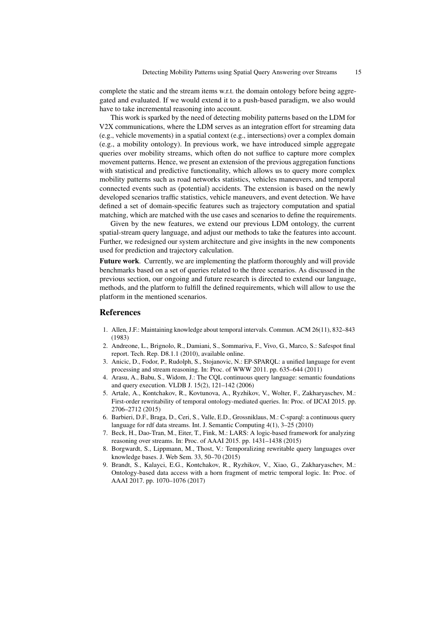complete the static and the stream items w.r.t. the domain ontology before being aggregated and evaluated. If we would extend it to a push-based paradigm, we also would have to take incremental reasoning into account.

This work is sparked by the need of detecting mobility patterns based on the LDM for V2X communications, where the LDM serves as an integration effort for streaming data (e.g., vehicle movements) in a spatial context (e.g., intersections) over a complex domain (e.g., a mobility ontology). In previous work, we have introduced simple aggregate queries over mobility streams, which often do not suffice to capture more complex movement patterns. Hence, we present an extension of the previous aggregation functions with statistical and predictive functionality, which allows us to query more complex mobility patterns such as road networks statistics, vehicles maneuvers, and temporal connected events such as (potential) accidents. The extension is based on the newly developed scenarios traffic statistics, vehicle maneuvers, and event detection. We have defined a set of domain-specific features such as trajectory computation and spatial matching, which are matched with the use cases and scenarios to define the requirements.

Given by the new features, we extend our previous LDM ontology, the current spatial-stream query language, and adjust our methods to take the features into account. Further, we redesigned our system architecture and give insights in the new components used for prediction and trajectory calculation.

Future work. Currently, we are implementing the platform thoroughly and will provide benchmarks based on a set of queries related to the three scenarios. As discussed in the previous section, our ongoing and future research is directed to extend our language, methods, and the platform to fulfill the defined requirements, which will allow to use the platform in the mentioned scenarios.

#### References

- 1. Allen, J.F.: Maintaining knowledge about temporal intervals. Commun. ACM 26(11), 832–843 (1983)
- 2. Andreone, L., Brignolo, R., Damiani, S., Sommariva, F., Vivo, G., Marco, S.: Safespot final report. Tech. Rep. D8.1.1 (2010), available online.
- 3. Anicic, D., Fodor, P., Rudolph, S., Stojanovic, N.: EP-SPARQL: a unified language for event processing and stream reasoning. In: Proc. of WWW 2011. pp. 635–644 (2011)
- 4. Arasu, A., Babu, S., Widom, J.: The CQL continuous query language: semantic foundations and query execution. VLDB J. 15(2), 121–142 (2006)
- 5. Artale, A., Kontchakov, R., Kovtunova, A., Ryzhikov, V., Wolter, F., Zakharyaschev, M.: First-order rewritability of temporal ontology-mediated queries. In: Proc. of IJCAI 2015. pp. 2706–2712 (2015)
- 6. Barbieri, D.F., Braga, D., Ceri, S., Valle, E.D., Grossniklaus, M.: C-sparql: a continuous query language for rdf data streams. Int. J. Semantic Computing 4(1), 3–25 (2010)
- 7. Beck, H., Dao-Tran, M., Eiter, T., Fink, M.: LARS: A logic-based framework for analyzing reasoning over streams. In: Proc. of AAAI 2015. pp. 1431–1438 (2015)
- 8. Borgwardt, S., Lippmann, M., Thost, V.: Temporalizing rewritable query languages over knowledge bases. J. Web Sem. 33, 50–70 (2015)
- 9. Brandt, S., Kalayci, E.G., Kontchakov, R., Ryzhikov, V., Xiao, G., Zakharyaschev, M.: Ontology-based data access with a horn fragment of metric temporal logic. In: Proc. of AAAI 2017. pp. 1070–1076 (2017)